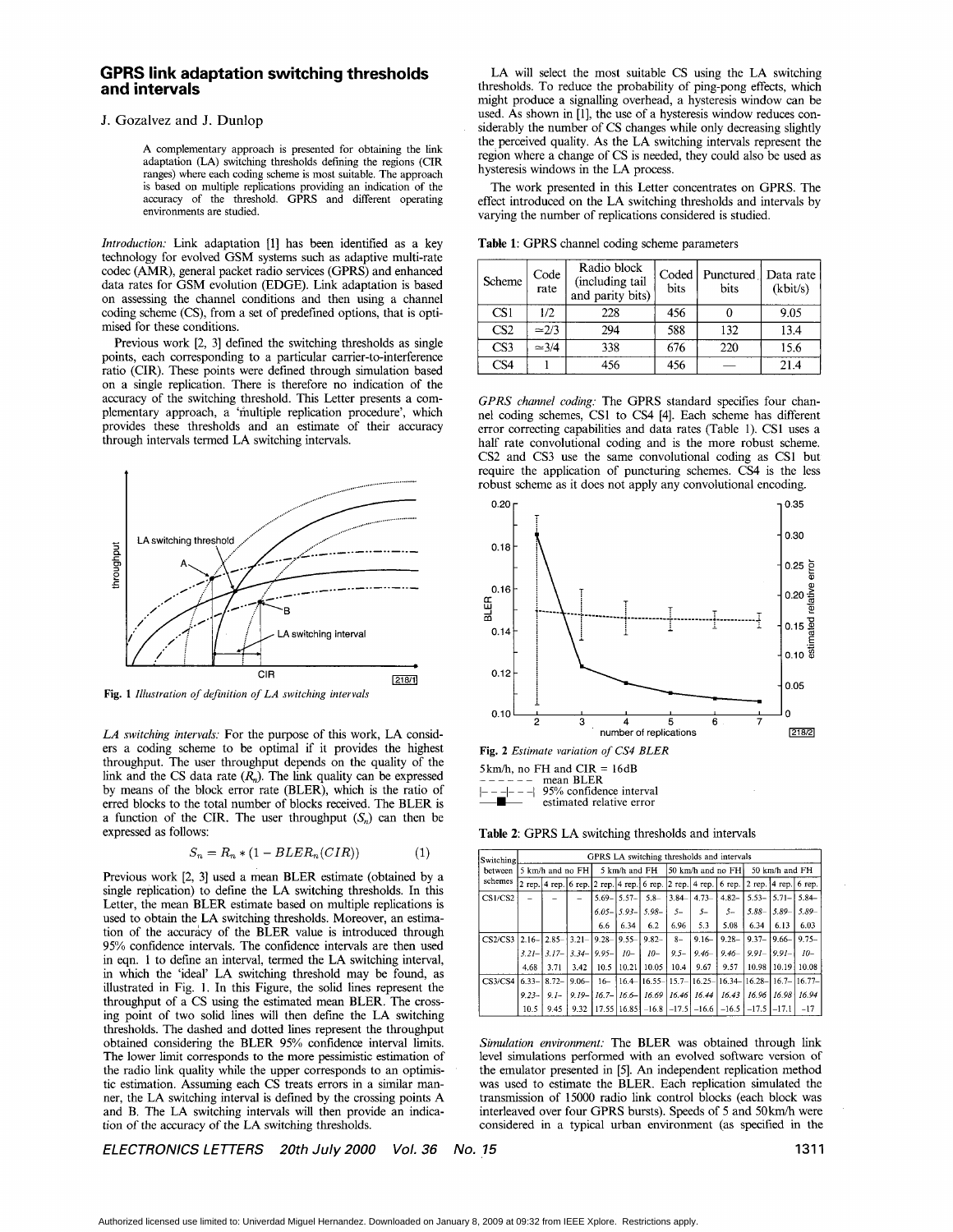# <span id="page-0-0"></span>**GPRS link adaptation switching thresholds and intervals**

## J. Gozalvez and J. Dunlop

**A** complementary approach is presented for obtaining the link adaptation **(LA)** switching thresholds defining the regions (CIR ranges) where each coding scheme is most suitable. The approach is based on multiple replications providing an indication of the accuracy of the threshold. GPRS and different operating environments are studied.

*Introduction:* Link adaptation [1] has been identified as a key technology for evolved GSM systems such as adaptive multi-rate codec (AMR), general packet radio services (GPRS) and enhanced data rates for GSM evolution (EDGE). Link adaptation is based on assessing the channel conditions and then using a channel coding scheme (CS), from a set of predefined options, that is optimised for these conditions.

Previous work [2, **31** defined the switching thresholds as single points, each corresponding to a particular carrier-to-interference ratio (CIR). These points were defined through simulation based on a single replication. There is therefore no indication of the accuracy of the switching threshold. This Letter presents a complementary approach, a 'multiple replication procedure', which provides these thresholds and an estimate of their accuracy through intervals termed LA switching intervals.



**Fig. 1** *Illustration of definition of LA switching intervals* 

*LA switching intervals:* For the purpose of this work, LA considers a coding scheme to be optimal if it provides the highest throughput. The user throughput depends on the quality of the link and the CS data rate  $(R_n)$ . The link quality can be expressed by means of the block error rate (BLER), which is the ratio of erred blocks to the total number of blocks received. The BLER is a function of the CIR. The user throughput  $(S_n)$  can then be expressed as follows:

$$
S_n = R_n * (1 - BLER_n(CIR))
$$
\n<sup>(1)</sup>

Previous work [2, 3] used a mean BLER estimate (obtained by a single replication) to define the LA switching thresholds. In this Letter, the mean BLER estimate based on multiple replications is used to obtain the LA switching thresholds. Moreover, an estimation of the accuracy of the BLER value is introduced through 95% confidence intervals. The confidence intervals are then used in eqn. 1 to define an interval, termed the LA switching interval, in which the 'ideal' LA switching threshold may be found, as illustrated in Fig. 1. In this Figure, the solid lines represent the throughput of a CS using the estimated mean BLER. The crossing point of two solid lines will then defme the LA switching thresholds. The dashed and dotted lines represent the throughput obtained considering the BLER 95% confidence interval limits. The lower limit corresponds to the more pessimistic estimation of the radio link quality while the upper corresponds to an optimistic estimation. Assuming each CS treats errors in a similar manner, the LA switching interval is defined by the crossing points A and B. The LA switching intervals will then provide an indication of the accuracy of the LA switching thresholds.

LA will select the most suitable CS using the LA switching thresholds. To reduce the probability of ping-pong effects, which might produce a signalling overhead, a hysteresis window can be used. As shown in [l], the use of a hysteresis window reduces considerably the number of CS changes while only decreasing slightly the perceived quality. As the LA switching intervals represent the region where a change of CS is needed, they could also be used as hysteresis windows in the LA process.

The work presented in this Letter concentrates on GPRS. The effect introduced on the LA switching thresholds and intervals by varying the number of replications considered is studied.

| Table 1: GPRS channel coding scheme parameters |  |  |
|------------------------------------------------|--|--|
|------------------------------------------------|--|--|

| Scheme          | Code<br>rate  | Radio block<br>(including tail<br>and parity bits) | Coded  <br>bits | Punctured   Data rate<br>bits | (kbit/s) |
|-----------------|---------------|----------------------------------------------------|-----------------|-------------------------------|----------|
| CS <sub>1</sub> | 1/2.          | 228                                                | 456             |                               | 9.05     |
| CS <sub>2</sub> | $\approx$ 2/3 | 294                                                | 588             | 132                           | 13.4     |
| CS <sub>3</sub> | $\simeq 3/4$  | 338                                                | 676             | 220                           | 15.6     |
| CS4             |               | 456                                                | 456             |                               | 21.4     |

*GPRS channel coding:* The GPRS standard specifies four channel coding schemes, CSl to CS4 **[4].** Each scheme has different error correcting capabilities and data rates (Table 1). CS1 uses a half rate convolutional coding and is the more robust scheme. CS2 and CS3 use the same convolutional coding as CSl but require the application of puncturing schemes. CS4 is the less robust scheme as it does not apply any convolutional encoding.



 $5 \text{ km/h}$ , no FH and CIR = 16dB<br>------ mean BLER mean BLER

- 95% confidence interval estimated relative error

**Table 2:** GPRS LA switching thresholds and intervals

| Switching          | GPRS LA switching thresholds and intervals |                 |            |               |                 |                   |         |                                                                                        |                |                            |             |                                                              |
|--------------------|--------------------------------------------|-----------------|------------|---------------|-----------------|-------------------|---------|----------------------------------------------------------------------------------------|----------------|----------------------------|-------------|--------------------------------------------------------------|
| between<br>schemes | 5 km/h and no FH                           |                 |            | 5 km/h and FH |                 | 50 km/h and no FH |         |                                                                                        | 50 km/h and FH |                            |             |                                                              |
|                    |                                            |                 |            |               |                 |                   |         | 2 rep. $ 4$ rep. $ 6$ rep. $ 2$ rep. $ 4$ rep. $ 6$ rep. $ 2$ rep. $ 4$ rep. $ 6$ rep. |                | 2 rep. $ 4$ rep. $ 6$ rep. |             |                                                              |
| CS1/CS2            |                                            |                 |            | $5.69 -$      | $5.57-$         | $5.8-$            | 3.84    | $4.73-$                                                                                | $4.82 -$       | $5.53-$                    | $ 5.71 -  $ | $5.84 -$                                                     |
|                    |                                            |                 |            |               | $6.05 - 5.93 -$ | $5.98 -$          | $S-$    | $5-$                                                                                   | 5-             | $5.88-$                    | $5.89 -$    | 5.89                                                         |
|                    |                                            |                 |            | 6.6           | 6.34            | 6.2               | 6.96    | 5.3                                                                                    | 5.08           | 6.34                       | 6.13        | 6.03                                                         |
| CS2/CS3            | $12.16 -$                                  | $2.85 - 3.21 -$ |            | $9.28 -$      | $9.55 -$        | $9.82 -$          | $8-$    | $9.16 -$                                                                               | $9.28 -$       | $9.37 -$                   | $19.66 - 1$ | $9.75 -$                                                     |
|                    | $3.21 -$                                   | $3.17-$         | $3.34-$    | $9.95 -$      | $10-$           | $10-$             | $9.5 -$ | $9.46-$                                                                                | $9.46 -$       | $9.91 -$                   | $9.91 -$    | $10-$                                                        |
|                    | 4.68                                       | 3.71            | 3.42       | 10.5          | 10.21           | 10.05             | 10.4    | 9.67                                                                                   | 9.57           | 10.98                      | 10.19       | 10.08                                                        |
| CS3/CS4            | $6.33-$                                    | $8.72 -$        | $9.06 -$   | $16-$         |                 |                   |         |                                                                                        |                |                            |             | 16.4 - 16.55 - 15.7 - 16.25 - 16.34 - 16.28 - 16.7 - 16.77 - |
|                    | $9.23 -$                                   | $9.1 -$         | $9.19 - 1$ | $16.7 -$      |                 | $16.6 - 16.69$    | 16.46   | 16.44                                                                                  | 16.43          | 16.96 16.98                |             | 16.94                                                        |
|                    | 10.5                                       | 9.45            | 9.32       |               |                 |                   |         | $17.55$   16.85   -16.8   -17.5   -16.6                                                | $-16.5$        | $-17.5$ $-17.1$            |             | $-17$                                                        |

*Simulation environment:* The BLER was obtained through link level simulations performed with an evolved software version of the emulator presented in [5]. An independent replication method was used to estimate the BLER. Each replication simulated the transmission of 15000 radio link control blocks (each block was interleaved over four GPRS bursts). Speeds of 5 and 50km/h were considered in a typical urban environment (as specified in the

*ELECTRONICS LETTERS 20th July 2000 Vol. 36*  **No. 15** 1311